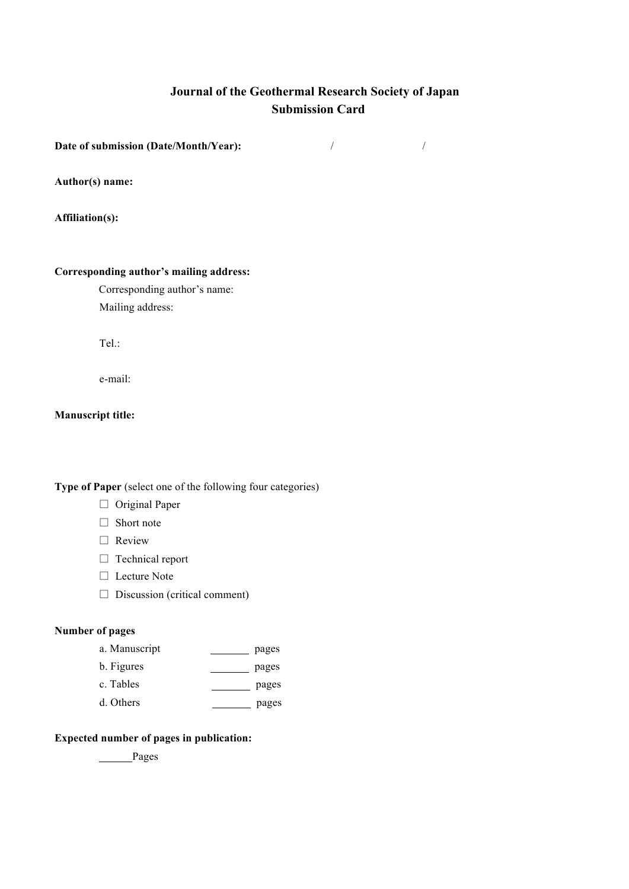# **Journal of the Geothermal Research Society of Japan Submission Card**

**Date of submission (Date/Month/Year):** / /

**Author(s) name:**

**Affiliation(s):**

#### **Corresponding author's mailing address:**

Corresponding author's name: Mailing address:

Tel.:

e-mail:

### **Manuscript title:**

**Type of Paper** (select one of the following four categories)

- □ Original Paper
- □ Short note
- □ Review
- □ Technical report
- □ Lecture Note
- $\square$  Discussion (critical comment)

## **Number of pages**

- a. Manuscript pages
- b. Figures pages
- c. Tables pages
- d. Others pages

#### **Expected number of pages in publication:**

Pages